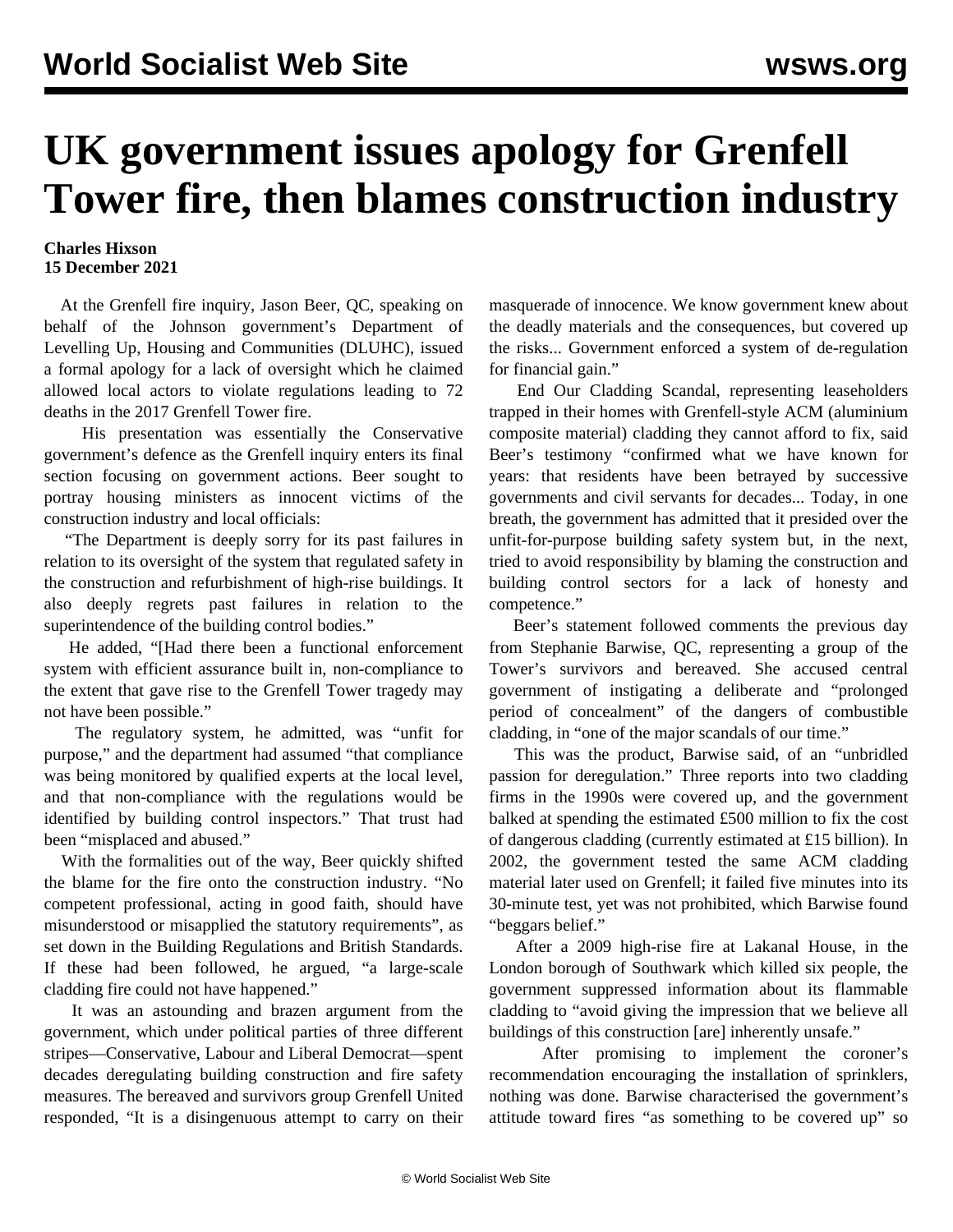## **UK government issues apology for Grenfell Tower fire, then blames construction industry**

## **Charles Hixson 15 December 2021**

 At the Grenfell fire inquiry, Jason Beer, QC, speaking on behalf of the Johnson government's Department of Levelling Up, Housing and Communities (DLUHC), issued a formal apology for a lack of oversight which he claimed allowed local actors to violate regulations leading to 72 deaths in the 2017 Grenfell Tower fire.

 His presentation was essentially the Conservative government's defence as the Grenfell inquiry enters its final section focusing on government actions. Beer sought to portray housing ministers as innocent victims of the construction industry and local officials:

 "The Department is deeply sorry for its past failures in relation to its oversight of the system that regulated safety in the construction and refurbishment of high-rise buildings. It also deeply regrets past failures in relation to the superintendence of the building control bodies."

 He added, "[Had there been a functional enforcement system with efficient assurance built in, non-compliance to the extent that gave rise to the Grenfell Tower tragedy may not have been possible."

 The regulatory system, he admitted, was "unfit for purpose," and the department had assumed "that compliance was being monitored by qualified experts at the local level, and that non-compliance with the regulations would be identified by building control inspectors." That trust had been "misplaced and abused."

 With the formalities out of the way, Beer quickly shifted the blame for the fire onto the construction industry. "No competent professional, acting in good faith, should have misunderstood or misapplied the statutory requirements", as set down in the Building Regulations and British Standards. If these had been followed, he argued, "a large-scale cladding fire could not have happened."

 It was an astounding and brazen argument from the government, which under political parties of three different stripes—Conservative, Labour and Liberal Democrat—spent decades deregulating building construction and fire safety measures. The bereaved and survivors group Grenfell United responded, "It is a disingenuous attempt to carry on their

masquerade of innocence. We know government knew about the deadly materials and the consequences, but covered up the risks... Government enforced a system of de-regulation for financial gain."

 End Our Cladding Scandal, representing leaseholders trapped in their homes with Grenfell-style ACM (aluminium composite material) cladding they cannot afford to fix, said Beer's testimony "confirmed what we have known for years: that residents have been betrayed by successive governments and civil servants for decades... Today, in one breath, the government has admitted that it presided over the unfit-for-purpose building safety system but, in the next, tried to avoid responsibility by blaming the construction and building control sectors for a lack of honesty and competence."

 Beer's statement followed comments the previous day from Stephanie Barwise, QC, representing a group of the Tower's survivors and bereaved. She accused central government of instigating a deliberate and "prolonged period of concealment" of the dangers of combustible cladding, in "one of the major scandals of our time."

 This was the product, Barwise said, of an "unbridled passion for deregulation." Three reports into two cladding firms in the 1990s were covered up, and the government balked at spending the estimated £500 million to fix the cost of dangerous cladding (currently estimated at £15 billion). In 2002, the government tested the same ACM cladding material later used on Grenfell; it failed five minutes into its 30-minute test, yet was not prohibited, which Barwise found "beggars belief."

 After a 2009 high-rise fire at Lakanal House, in the London borough of Southwark which killed six people, the government suppressed information about its flammable cladding to "avoid giving the impression that we believe all buildings of this construction [are] inherently unsafe."

 After promising to implement the coroner's recommendation encouraging the installation of sprinklers, nothing was done. Barwise characterised the government's attitude toward fires "as something to be covered up" so